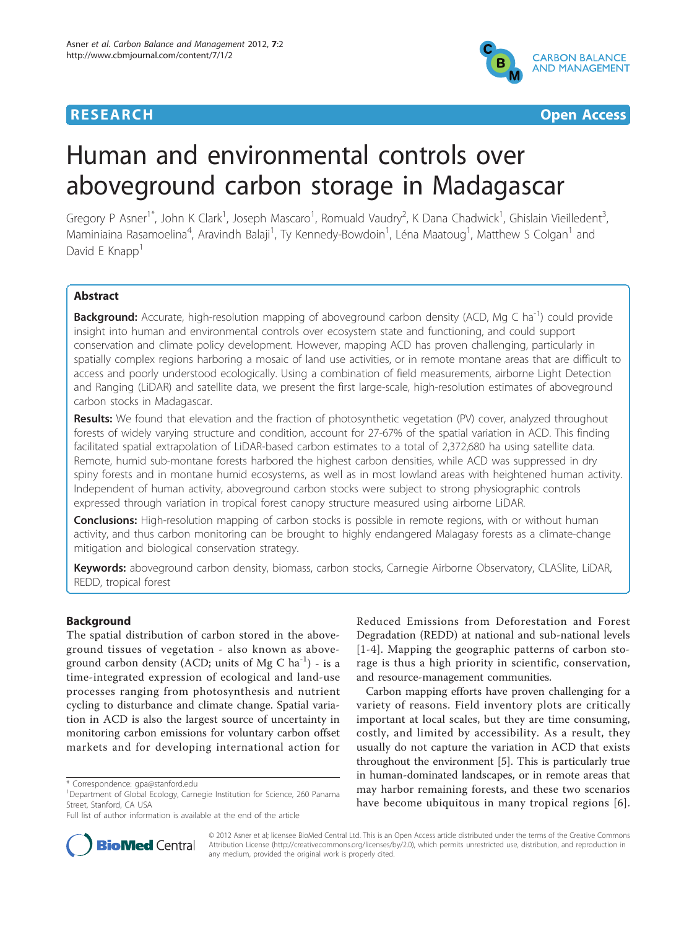



# Human and environmental controls over aboveground carbon storage in Madagascar

Gregory P Asner<sup>1\*</sup>, John K Clark<sup>1</sup>, Joseph Mascaro<sup>1</sup>, Romuald Vaudry<sup>2</sup>, K Dana Chadwick<sup>1</sup>, Ghislain Vieilledent<sup>3</sup> , Maminiaina Rasamoelina<sup>4</sup>, Aravindh Balaji<sup>1</sup>, Ty Kennedy-Bowdoin<sup>1</sup>, Léna Maatoug<sup>1</sup>, Matthew S Colgan<sup>1</sup> and David E Knapp<sup>1</sup>

# Abstract

**Background:** Accurate, high-resolution mapping of aboveground carbon density (ACD, Mg C ha<sup>-1</sup>) could provide insight into human and environmental controls over ecosystem state and functioning, and could support conservation and climate policy development. However, mapping ACD has proven challenging, particularly in spatially complex regions harboring a mosaic of land use activities, or in remote montane areas that are difficult to access and poorly understood ecologically. Using a combination of field measurements, airborne Light Detection and Ranging (LiDAR) and satellite data, we present the first large-scale, high-resolution estimates of aboveground carbon stocks in Madagascar.

Results: We found that elevation and the fraction of photosynthetic vegetation (PV) cover, analyzed throughout forests of widely varying structure and condition, account for 27-67% of the spatial variation in ACD. This finding facilitated spatial extrapolation of LiDAR-based carbon estimates to a total of 2,372,680 ha using satellite data. Remote, humid sub-montane forests harbored the highest carbon densities, while ACD was suppressed in dry spiny forests and in montane humid ecosystems, as well as in most lowland areas with heightened human activity. Independent of human activity, aboveground carbon stocks were subject to strong physiographic controls expressed through variation in tropical forest canopy structure measured using airborne LiDAR.

**Conclusions:** High-resolution mapping of carbon stocks is possible in remote regions, with or without human activity, and thus carbon monitoring can be brought to highly endangered Malagasy forests as a climate-change mitigation and biological conservation strategy.

Keywords: aboveground carbon density, biomass, carbon stocks, Carnegie Airborne Observatory, CLASlite, LiDAR, REDD, tropical forest

# Background

The spatial distribution of carbon stored in the aboveground tissues of vegetation - also known as aboveground carbon density (ACD; units of Mg C  $ha^{-1}$ ) - is a time-integrated expression of ecological and land-use processes ranging from photosynthesis and nutrient cycling to disturbance and climate change. Spatial variation in ACD is also the largest source of uncertainty in monitoring carbon emissions for voluntary carbon offset markets and for developing international action for

Reduced Emissions from Deforestation and Forest Degradation (REDD) at national and sub-national levels [[1](#page-10-0)-[4](#page-11-0)]. Mapping the geographic patterns of carbon storage is thus a high priority in scientific, conservation, and resource-management communities.

Carbon mapping efforts have proven challenging for a variety of reasons. Field inventory plots are critically important at local scales, but they are time consuming, costly, and limited by accessibility. As a result, they usually do not capture the variation in ACD that exists throughout the environment [\[5](#page-11-0)]. This is particularly true in human-dominated landscapes, or in remote areas that may harbor remaining forests, and these two scenarios have become ubiquitous in many tropical regions [[6](#page-11-0)].



© 2012 Asner et al; licensee BioMed Central Ltd. This is an Open Access article distributed under the terms of the Creative Commons Attribution License [\(http://creativecommons.org/licenses/by/2.0](http://creativecommons.org/licenses/by/2.0)), which permits unrestricted use, distribution, and reproduction in any medium, provided the original work is properly cited.

<sup>\*</sup> Correspondence: [gpa@stanford.edu](mailto:gpa@stanford.edu)

<sup>&</sup>lt;sup>1</sup>Department of Global Ecology, Carnegie Institution for Science, 260 Panama Street, Stanford, CA USA

Full list of author information is available at the end of the article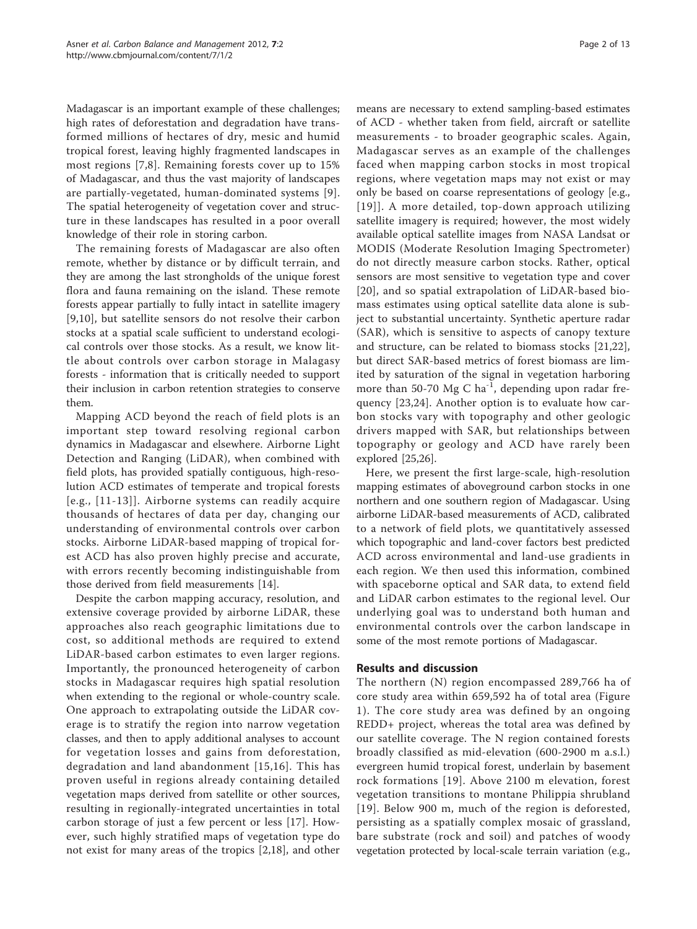Madagascar is an important example of these challenges; high rates of deforestation and degradation have transformed millions of hectares of dry, mesic and humid tropical forest, leaving highly fragmented landscapes in most regions [[7,8](#page-11-0)]. Remaining forests cover up to 15% of Madagascar, and thus the vast majority of landscapes are partially-vegetated, human-dominated systems [[9](#page-11-0)]. The spatial heterogeneity of vegetation cover and structure in these landscapes has resulted in a poor overall knowledge of their role in storing carbon.

The remaining forests of Madagascar are also often remote, whether by distance or by difficult terrain, and they are among the last strongholds of the unique forest flora and fauna remaining on the island. These remote forests appear partially to fully intact in satellite imagery [[9,10](#page-11-0)], but satellite sensors do not resolve their carbon stocks at a spatial scale sufficient to understand ecological controls over those stocks. As a result, we know little about controls over carbon storage in Malagasy forests - information that is critically needed to support their inclusion in carbon retention strategies to conserve them.

Mapping ACD beyond the reach of field plots is an important step toward resolving regional carbon dynamics in Madagascar and elsewhere. Airborne Light Detection and Ranging (LiDAR), when combined with field plots, has provided spatially contiguous, high-resolution ACD estimates of temperate and tropical forests [e.g., [[11-13](#page-11-0)]]. Airborne systems can readily acquire thousands of hectares of data per day, changing our understanding of environmental controls over carbon stocks. Airborne LiDAR-based mapping of tropical forest ACD has also proven highly precise and accurate, with errors recently becoming indistinguishable from those derived from field measurements [[14](#page-11-0)].

Despite the carbon mapping accuracy, resolution, and extensive coverage provided by airborne LiDAR, these approaches also reach geographic limitations due to cost, so additional methods are required to extend LiDAR-based carbon estimates to even larger regions. Importantly, the pronounced heterogeneity of carbon stocks in Madagascar requires high spatial resolution when extending to the regional or whole-country scale. One approach to extrapolating outside the LiDAR coverage is to stratify the region into narrow vegetation classes, and then to apply additional analyses to account for vegetation losses and gains from deforestation, degradation and land abandonment [[15,16\]](#page-11-0). This has proven useful in regions already containing detailed vegetation maps derived from satellite or other sources, resulting in regionally-integrated uncertainties in total carbon storage of just a few percent or less [[17](#page-11-0)]. However, such highly stratified maps of vegetation type do not exist for many areas of the tropics [\[2](#page-10-0)[,18](#page-11-0)], and other means are necessary to extend sampling-based estimates of ACD - whether taken from field, aircraft or satellite measurements - to broader geographic scales. Again, Madagascar serves as an example of the challenges faced when mapping carbon stocks in most tropical regions, where vegetation maps may not exist or may only be based on coarse representations of geology [e.g., [[19\]](#page-11-0)]. A more detailed, top-down approach utilizing satellite imagery is required; however, the most widely available optical satellite images from NASA Landsat or MODIS (Moderate Resolution Imaging Spectrometer) do not directly measure carbon stocks. Rather, optical sensors are most sensitive to vegetation type and cover [[20](#page-11-0)], and so spatial extrapolation of LiDAR-based biomass estimates using optical satellite data alone is subject to substantial uncertainty. Synthetic aperture radar (SAR), which is sensitive to aspects of canopy texture and structure, can be related to biomass stocks [[21,22](#page-11-0)], but direct SAR-based metrics of forest biomass are limited by saturation of the signal in vegetation harboring more than 50-70 Mg C  $ha^{-1}$ , depending upon radar frequency [\[23](#page-11-0),[24\]](#page-11-0). Another option is to evaluate how carbon stocks vary with topography and other geologic drivers mapped with SAR, but relationships between topography or geology and ACD have rarely been explored [\[25,26\]](#page-11-0).

Here, we present the first large-scale, high-resolution mapping estimates of aboveground carbon stocks in one northern and one southern region of Madagascar. Using airborne LiDAR-based measurements of ACD, calibrated to a network of field plots, we quantitatively assessed which topographic and land-cover factors best predicted ACD across environmental and land-use gradients in each region. We then used this information, combined with spaceborne optical and SAR data, to extend field and LiDAR carbon estimates to the regional level. Our underlying goal was to understand both human and environmental controls over the carbon landscape in some of the most remote portions of Madagascar.

# Results and discussion

The northern (N) region encompassed 289,766 ha of core study area within 659,592 ha of total area (Figure [1](#page-2-0)). The core study area was defined by an ongoing REDD+ project, whereas the total area was defined by our satellite coverage. The N region contained forests broadly classified as mid-elevation (600-2900 m a.s.l.) evergreen humid tropical forest, underlain by basement rock formations [[19](#page-11-0)]. Above 2100 m elevation, forest vegetation transitions to montane Philippia shrubland [[19\]](#page-11-0). Below 900 m, much of the region is deforested, persisting as a spatially complex mosaic of grassland, bare substrate (rock and soil) and patches of woody vegetation protected by local-scale terrain variation (e.g.,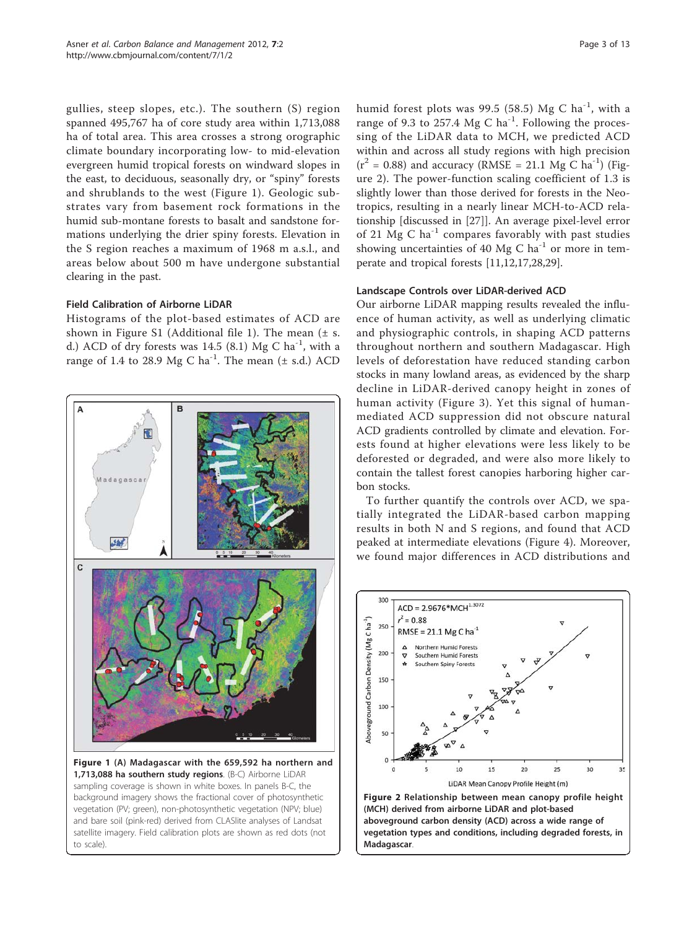<span id="page-2-0"></span>gullies, steep slopes, etc.). The southern (S) region spanned 495,767 ha of core study area within 1,713,088 ha of total area. This area crosses a strong orographic climate boundary incorporating low- to mid-elevation evergreen humid tropical forests on windward slopes in the east, to deciduous, seasonally dry, or "spiny" forests and shrublands to the west (Figure 1). Geologic substrates vary from basement rock formations in the humid sub-montane forests to basalt and sandstone formations underlying the drier spiny forests. Elevation in the S region reaches a maximum of 1968 m a.s.l., and areas below about 500 m have undergone substantial clearing in the past.

#### Field Calibration of Airborne LiDAR

Histograms of the plot-based estimates of ACD are shown in Figure S1 (Additional file [1](#page-10-0)). The mean  $(\pm s)$ . d.) ACD of dry forests was 14.5 (8.1) Mg C ha<sup>-1</sup>, with a range of 1.4 to 28.9 Mg C ha<sup>-1</sup>. The mean  $(\pm \text{ s.d.})$  ACD



humid forest plots was 99.5 (58.5) Mg C ha<sup>-1</sup>, with a range of 9.3 to 257.4 Mg C  $ha^{-1}$ . Following the processing of the LiDAR data to MCH, we predicted ACD within and across all study regions with high precision  $(r^2 = 0.88)$  and accuracy (RMSE = 21.1 Mg C ha<sup>-1</sup>) (Figure 2). The power-function scaling coefficient of 1.3 is slightly lower than those derived for forests in the Neotropics, resulting in a nearly linear MCH-to-ACD relationship [discussed in [\[27](#page-11-0)]]. An average pixel-level error of 21 Mg C ha<sup>-1</sup> compares favorably with past studies showing uncertainties of 40 Mg C  $ha^{-1}$  or more in temperate and tropical forests [[11,12,17,28,29\]](#page-11-0).

#### Landscape Controls over LiDAR-derived ACD

Our airborne LiDAR mapping results revealed the influence of human activity, as well as underlying climatic and physiographic controls, in shaping ACD patterns throughout northern and southern Madagascar. High levels of deforestation have reduced standing carbon stocks in many lowland areas, as evidenced by the sharp decline in LiDAR-derived canopy height in zones of human activity (Figure [3\)](#page-3-0). Yet this signal of humanmediated ACD suppression did not obscure natural ACD gradients controlled by climate and elevation. Forests found at higher elevations were less likely to be deforested or degraded, and were also more likely to contain the tallest forest canopies harboring higher carbon stocks.

To further quantify the controls over ACD, we spatially integrated the LiDAR-based carbon mapping results in both N and S regions, and found that ACD peaked at intermediate elevations (Figure [4\)](#page-4-0). Moreover, we found major differences in ACD distributions and



Figure 2 Relationship between mean canopy profile height (MCH) derived from airborne LiDAR and plot-based aboveground carbon density (ACD) across a wide range of vegetation types and conditions, including degraded forests, in Madagascar.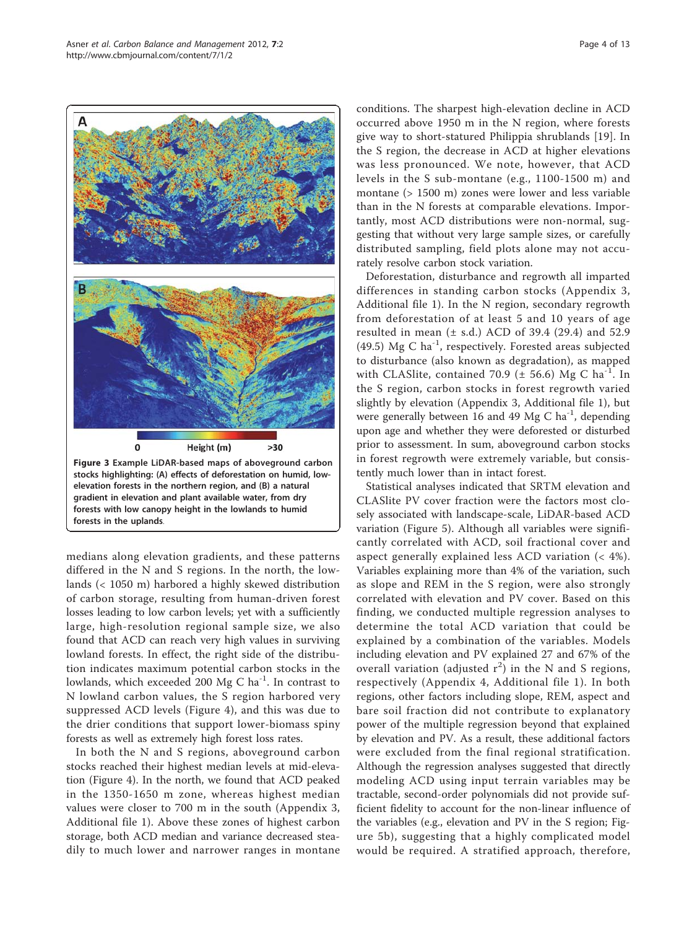medians along elevation gradients, and these patterns differed in the N and S regions. In the north, the lowlands (< 1050 m) harbored a highly skewed distribution of carbon storage, resulting from human-driven forest losses leading to low carbon levels; yet with a sufficiently large, high-resolution regional sample size, we also found that ACD can reach very high values in surviving lowland forests. In effect, the right side of the distribution indicates maximum potential carbon stocks in the lowlands, which exceeded 200 Mg C ha $^{-1}$ . In contrast to N lowland carbon values, the S region harbored very suppressed ACD levels (Figure [4\)](#page-4-0), and this was due to the drier conditions that support lower-biomass spiny forests as well as extremely high forest loss rates.

In both the N and S regions, aboveground carbon stocks reached their highest median levels at mid-elevation (Figure [4](#page-4-0)). In the north, we found that ACD peaked in the 1350-1650 m zone, whereas highest median values were closer to 700 m in the south (Appendix 3, Additional file [1\)](#page-10-0). Above these zones of highest carbon storage, both ACD median and variance decreased steadily to much lower and narrower ranges in montane conditions. The sharpest high-elevation decline in ACD occurred above 1950 m in the N region, where forests give way to short-statured Philippia shrublands [[19\]](#page-11-0). In the S region, the decrease in ACD at higher elevations was less pronounced. We note, however, that ACD levels in the S sub-montane (e.g., 1100-1500 m) and montane (> 1500 m) zones were lower and less variable than in the N forests at comparable elevations. Importantly, most ACD distributions were non-normal, suggesting that without very large sample sizes, or carefully distributed sampling, field plots alone may not accurately resolve carbon stock variation.

Deforestation, disturbance and regrowth all imparted differences in standing carbon stocks (Appendix 3, Additional file [1\)](#page-10-0). In the N region, secondary regrowth from deforestation of at least 5 and 10 years of age resulted in mean  $(\pm s.d.)$  ACD of 39.4 (29.4) and 52.9  $(49.5)$  Mg C ha<sup>-1</sup>, respectively. Forested areas subjected to disturbance (also known as degradation), as mapped with CLASlite, contained 70.9 ( $\pm$  56.6) Mg C ha<sup>-1</sup>. In the S region, carbon stocks in forest regrowth varied slightly by elevation (Appendix 3, Additional file [1\)](#page-10-0), but were generally between 16 and 49 Mg C ha<sup>-1</sup>, depending upon age and whether they were deforested or disturbed prior to assessment. In sum, aboveground carbon stocks in forest regrowth were extremely variable, but consistently much lower than in intact forest.

Statistical analyses indicated that SRTM elevation and CLASlite PV cover fraction were the factors most closely associated with landscape-scale, LiDAR-based ACD variation (Figure [5\)](#page-5-0). Although all variables were significantly correlated with ACD, soil fractional cover and aspect generally explained less ACD variation (< 4%). Variables explaining more than 4% of the variation, such as slope and REM in the S region, were also strongly correlated with elevation and PV cover. Based on this finding, we conducted multiple regression analyses to determine the total ACD variation that could be explained by a combination of the variables. Models including elevation and PV explained 27 and 67% of the overall variation (adjusted  $r^2$ ) in the N and S regions, respectively (Appendix 4, Additional file [1\)](#page-10-0). In both regions, other factors including slope, REM, aspect and bare soil fraction did not contribute to explanatory power of the multiple regression beyond that explained by elevation and PV. As a result, these additional factors were excluded from the final regional stratification. Although the regression analyses suggested that directly modeling ACD using input terrain variables may be tractable, second-order polynomials did not provide sufficient fidelity to account for the non-linear influence of the variables (e.g., elevation and PV in the S region; Figure [5b\)](#page-5-0), suggesting that a highly complicated model would be required. A stratified approach, therefore,

<span id="page-3-0"></span>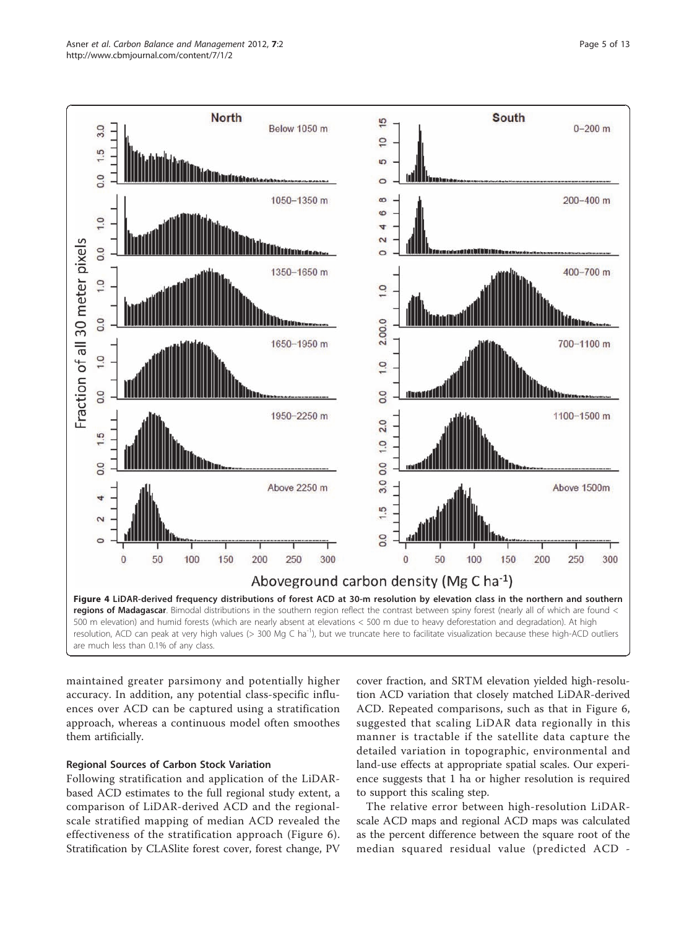<span id="page-4-0"></span>

maintained greater parsimony and potentially higher accuracy. In addition, any potential class-specific influences over ACD can be captured using a stratification approach, whereas a continuous model often smoothes them artificially.

# Regional Sources of Carbon Stock Variation

Following stratification and application of the LiDARbased ACD estimates to the full regional study extent, a comparison of LiDAR-derived ACD and the regionalscale stratified mapping of median ACD revealed the effectiveness of the stratification approach (Figure [6\)](#page-6-0). Stratification by CLASlite forest cover, forest change, PV cover fraction, and SRTM elevation yielded high-resolution ACD variation that closely matched LiDAR-derived ACD. Repeated comparisons, such as that in Figure [6](#page-6-0), suggested that scaling LiDAR data regionally in this manner is tractable if the satellite data capture the detailed variation in topographic, environmental and land-use effects at appropriate spatial scales. Our experience suggests that 1 ha or higher resolution is required to support this scaling step.

The relative error between high-resolution LiDARscale ACD maps and regional ACD maps was calculated as the percent difference between the square root of the median squared residual value (predicted ACD -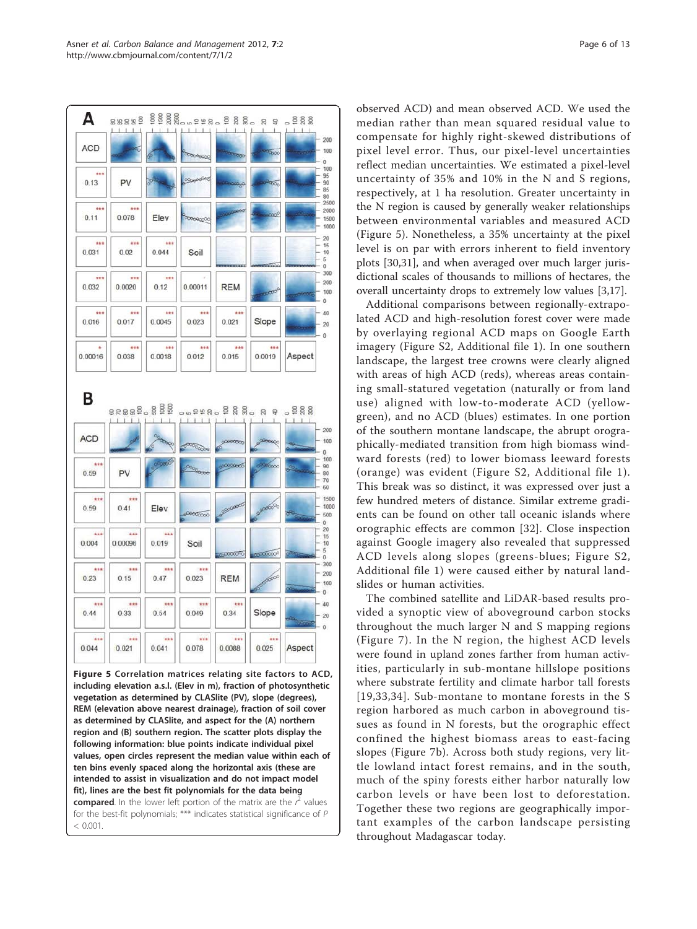<span id="page-5-0"></span>

Figure 5 Correlation matrices relating site factors to ACD, including elevation a.s.l. (Elev in m), fraction of photosynthetic vegetation as determined by CLASlite (PV), slope (degrees), REM (elevation above nearest drainage), fraction of soil cover as determined by CLASlite, and aspect for the (A) northern region and (B) southern region. The scatter plots display the following information: blue points indicate individual pixel values, open circles represent the median value within each of ten bins evenly spaced along the horizontal axis (these are intended to assist in visualization and do not impact model fit), lines are the best fit polynomials for the data being compared. In the lower left portion of the matrix are the  $r^2$  values for the best-fit polynomials; \*\*\* indicates statistical significance of P  $< 0.001$ .

observed ACD) and mean observed ACD. We used the median rather than mean squared residual value to compensate for highly right-skewed distributions of pixel level error. Thus, our pixel-level uncertainties reflect median uncertainties. We estimated a pixel-level uncertainty of 35% and 10% in the N and S regions, respectively, at 1 ha resolution. Greater uncertainty in the N region is caused by generally weaker relationships between environmental variables and measured ACD (Figure 5). Nonetheless, a 35% uncertainty at the pixel level is on par with errors inherent to field inventory plots [[30,31\]](#page-11-0), and when averaged over much larger jurisdictional scales of thousands to millions of hectares, the overall uncertainty drops to extremely low values [[3,17\]](#page-11-0).

Additional comparisons between regionally-extrapolated ACD and high-resolution forest cover were made by overlaying regional ACD maps on Google Earth imagery (Figure S2, Additional file [1\)](#page-10-0). In one southern landscape, the largest tree crowns were clearly aligned with areas of high ACD (reds), whereas areas containing small-statured vegetation (naturally or from land use) aligned with low-to-moderate ACD (yellowgreen), and no ACD (blues) estimates. In one portion of the southern montane landscape, the abrupt orographically-mediated transition from high biomass windward forests (red) to lower biomass leeward forests (orange) was evident (Figure S2, Additional file [1\)](#page-10-0). This break was so distinct, it was expressed over just a few hundred meters of distance. Similar extreme gradients can be found on other tall oceanic islands where orographic effects are common [[32\]](#page-11-0). Close inspection against Google imagery also revealed that suppressed ACD levels along slopes (greens-blues; Figure S2, Additional file [1](#page-10-0)) were caused either by natural landslides or human activities.

The combined satellite and LiDAR-based results provided a synoptic view of aboveground carbon stocks throughout the much larger N and S mapping regions (Figure [7\)](#page-7-0). In the N region, the highest ACD levels were found in upland zones farther from human activities, particularly in sub-montane hillslope positions where substrate fertility and climate harbor tall forests [[19,33,34\]](#page-11-0). Sub-montane to montane forests in the S region harbored as much carbon in aboveground tissues as found in N forests, but the orographic effect confined the highest biomass areas to east-facing slopes (Figure [7b\)](#page-7-0). Across both study regions, very little lowland intact forest remains, and in the south, much of the spiny forests either harbor naturally low carbon levels or have been lost to deforestation. Together these two regions are geographically important examples of the carbon landscape persisting throughout Madagascar today.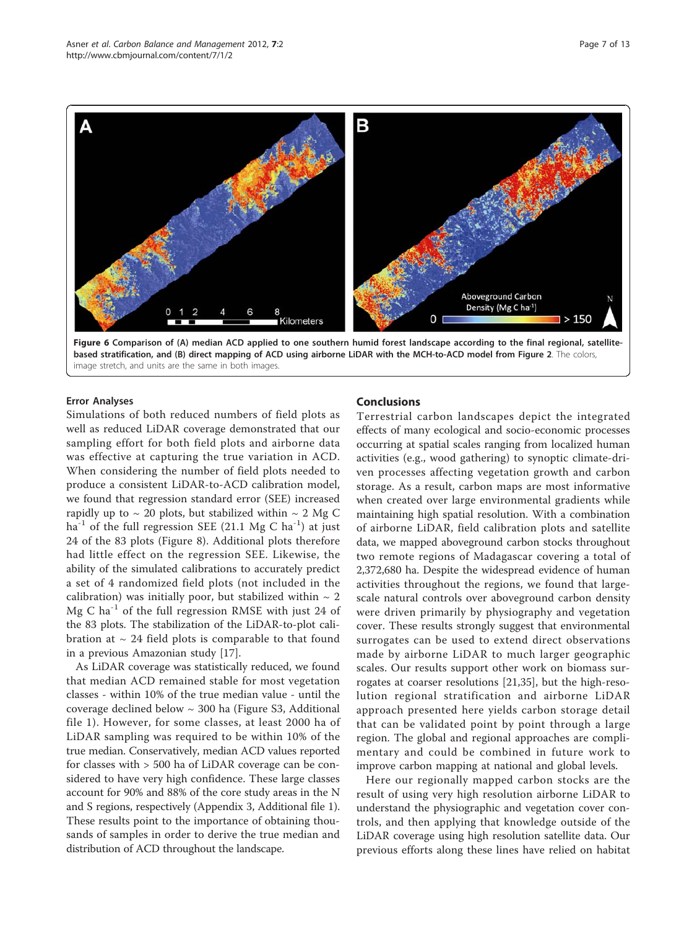<span id="page-6-0"></span>

based stratification, and (B) direct mapping of ACD using airborne LiDAR with the MCH-to-ACD model from Figure 2. The colors, image stretch, and units are the same in both images.

#### Error Analyses

Simulations of both reduced numbers of field plots as well as reduced LiDAR coverage demonstrated that our sampling effort for both field plots and airborne data was effective at capturing the true variation in ACD. When considering the number of field plots needed to produce a consistent LiDAR-to-ACD calibration model, we found that regression standard error (SEE) increased rapidly up to  $\sim$  20 plots, but stabilized within  $\sim$  2 Mg C  $ha^{-1}$  of the full regression SEE (21.1 Mg C ha<sup>-1</sup>) at just 24 of the 83 plots (Figure [8\)](#page-8-0). Additional plots therefore had little effect on the regression SEE. Likewise, the ability of the simulated calibrations to accurately predict a set of 4 randomized field plots (not included in the calibration) was initially poor, but stabilized within  $\sim 2$  $Mg$  C ha<sup>-1</sup> of the full regression RMSE with just 24 of the 83 plots. The stabilization of the LiDAR-to-plot calibration at  $\sim$  24 field plots is comparable to that found in a previous Amazonian study [[17\]](#page-11-0).

As LiDAR coverage was statistically reduced, we found that median ACD remained stable for most vegetation classes - within 10% of the true median value - until the coverage declined below  $\sim$  300 ha (Figure S3, Additional file [1\)](#page-10-0). However, for some classes, at least 2000 ha of LiDAR sampling was required to be within 10% of the true median. Conservatively, median ACD values reported for classes with > 500 ha of LiDAR coverage can be considered to have very high confidence. These large classes account for 90% and 88% of the core study areas in the N and S regions, respectively (Appendix 3, Additional file [1](#page-10-0)). These results point to the importance of obtaining thousands of samples in order to derive the true median and distribution of ACD throughout the landscape.

#### Conclusions

Terrestrial carbon landscapes depict the integrated effects of many ecological and socio-economic processes occurring at spatial scales ranging from localized human activities (e.g., wood gathering) to synoptic climate-driven processes affecting vegetation growth and carbon storage. As a result, carbon maps are most informative when created over large environmental gradients while maintaining high spatial resolution. With a combination of airborne LiDAR, field calibration plots and satellite data, we mapped aboveground carbon stocks throughout two remote regions of Madagascar covering a total of 2,372,680 ha. Despite the widespread evidence of human activities throughout the regions, we found that largescale natural controls over aboveground carbon density were driven primarily by physiography and vegetation cover. These results strongly suggest that environmental surrogates can be used to extend direct observations made by airborne LiDAR to much larger geographic scales. Our results support other work on biomass surrogates at coarser resolutions [[21,35\]](#page-11-0), but the high-resolution regional stratification and airborne LiDAR approach presented here yields carbon storage detail that can be validated point by point through a large region. The global and regional approaches are complimentary and could be combined in future work to improve carbon mapping at national and global levels.

Here our regionally mapped carbon stocks are the result of using very high resolution airborne LiDAR to understand the physiographic and vegetation cover controls, and then applying that knowledge outside of the LiDAR coverage using high resolution satellite data. Our previous efforts along these lines have relied on habitat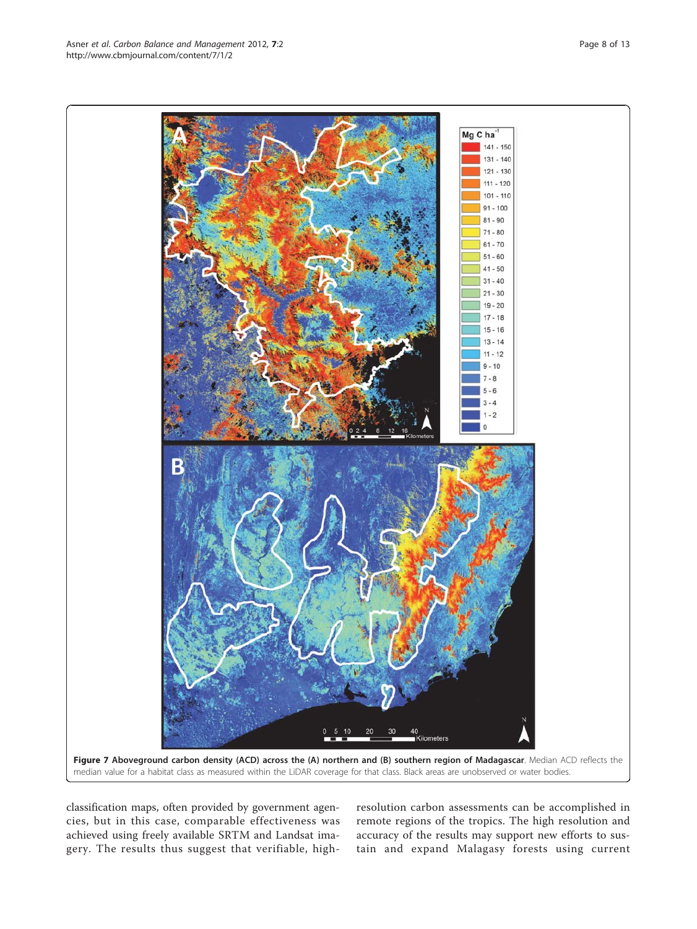classification maps, often provided by government agencies, but in this case, comparable effectiveness was achieved using freely available SRTM and Landsat imagery. The results thus suggest that verifiable, highresolution carbon assessments can be accomplished in remote regions of the tropics. The high resolution and accuracy of the results may support new efforts to sustain and expand Malagasy forests using current

<span id="page-7-0"></span>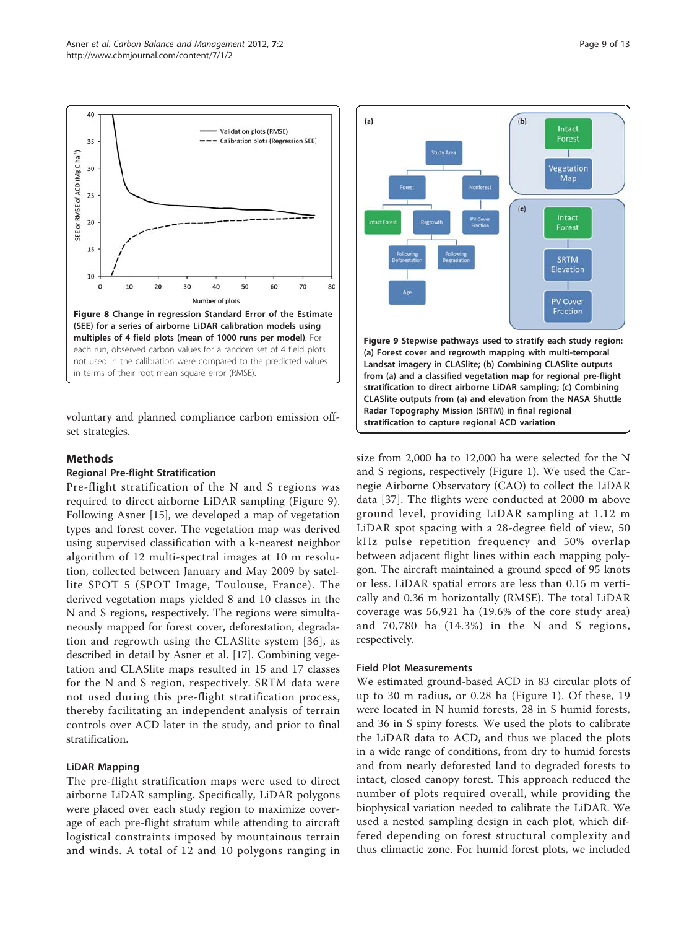<span id="page-8-0"></span>

voluntary and planned compliance carbon emission offset strategies.

### Methods

### Regional Pre-flight Stratification

Pre-flight stratification of the N and S regions was required to direct airborne LiDAR sampling (Figure 9). Following Asner [[15\]](#page-11-0), we developed a map of vegetation types and forest cover. The vegetation map was derived using supervised classification with a k-nearest neighbor algorithm of 12 multi-spectral images at 10 m resolution, collected between January and May 2009 by satellite SPOT 5 (SPOT Image, Toulouse, France). The derived vegetation maps yielded 8 and 10 classes in the N and S regions, respectively. The regions were simultaneously mapped for forest cover, deforestation, degradation and regrowth using the CLASlite system [\[36\]](#page-11-0), as described in detail by Asner et al. [[17\]](#page-11-0). Combining vegetation and CLASlite maps resulted in 15 and 17 classes for the N and S region, respectively. SRTM data were not used during this pre-flight stratification process, thereby facilitating an independent analysis of terrain controls over ACD later in the study, and prior to final stratification.

#### LiDAR Mapping

The pre-flight stratification maps were used to direct airborne LiDAR sampling. Specifically, LiDAR polygons were placed over each study region to maximize coverage of each pre-flight stratum while attending to aircraft logistical constraints imposed by mountainous terrain and winds. A total of 12 and 10 polygons ranging in



size from 2,000 ha to 12,000 ha were selected for the N and S regions, respectively (Figure [1](#page-2-0)). We used the Carnegie Airborne Observatory (CAO) to collect the LiDAR data [\[37](#page-11-0)]. The flights were conducted at 2000 m above ground level, providing LiDAR sampling at 1.12 m LiDAR spot spacing with a 28-degree field of view, 50 kHz pulse repetition frequency and 50% overlap between adjacent flight lines within each mapping polygon. The aircraft maintained a ground speed of 95 knots or less. LiDAR spatial errors are less than 0.15 m vertically and 0.36 m horizontally (RMSE). The total LiDAR coverage was 56,921 ha (19.6% of the core study area) and 70,780 ha (14.3%) in the N and S regions, respectively.

#### Field Plot Measurements

We estimated ground-based ACD in 83 circular plots of up to 30 m radius, or 0.28 ha (Figure [1\)](#page-2-0). Of these, 19 were located in N humid forests, 28 in S humid forests, and 36 in S spiny forests. We used the plots to calibrate the LiDAR data to ACD, and thus we placed the plots in a wide range of conditions, from dry to humid forests and from nearly deforested land to degraded forests to intact, closed canopy forest. This approach reduced the number of plots required overall, while providing the biophysical variation needed to calibrate the LiDAR. We used a nested sampling design in each plot, which differed depending on forest structural complexity and thus climactic zone. For humid forest plots, we included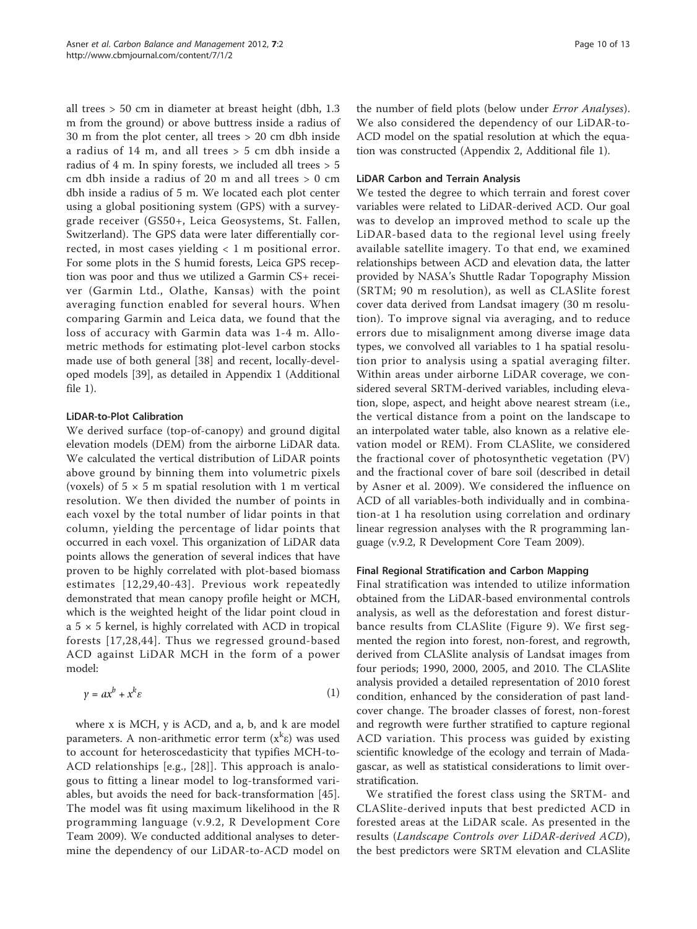all trees > 50 cm in diameter at breast height (dbh, 1.3 m from the ground) or above buttress inside a radius of 30 m from the plot center, all trees > 20 cm dbh inside a radius of 14 m, and all trees > 5 cm dbh inside a radius of 4 m. In spiny forests, we included all trees > 5 cm dbh inside a radius of 20 m and all trees > 0 cm dbh inside a radius of 5 m. We located each plot center using a global positioning system (GPS) with a surveygrade receiver (GS50+, Leica Geosystems, St. Fallen, Switzerland). The GPS data were later differentially corrected, in most cases yielding  $< 1$  m positional error. For some plots in the S humid forests, Leica GPS reception was poor and thus we utilized a Garmin CS+ receiver (Garmin Ltd., Olathe, Kansas) with the point averaging function enabled for several hours. When comparing Garmin and Leica data, we found that the loss of accuracy with Garmin data was 1-4 m. Allometric methods for estimating plot-level carbon stocks made use of both general [\[38](#page-11-0)] and recent, locally-developed models [[39\]](#page-11-0), as detailed in Appendix 1 (Additional file [1](#page-10-0)).

#### LiDAR-to-Plot Calibration

We derived surface (top-of-canopy) and ground digital elevation models (DEM) from the airborne LiDAR data. We calculated the vertical distribution of LiDAR points above ground by binning them into volumetric pixels (voxels) of  $5 \times 5$  m spatial resolution with 1 m vertical resolution. We then divided the number of points in each voxel by the total number of lidar points in that column, yielding the percentage of lidar points that occurred in each voxel. This organization of LiDAR data points allows the generation of several indices that have proven to be highly correlated with plot-based biomass estimates [[12,29](#page-11-0),[40](#page-11-0)-43]. Previous work repeatedly demonstrated that mean canopy profile height or MCH, which is the weighted height of the lidar point cloud in a  $5 \times 5$  kernel, is highly correlated with ACD in tropical forests [[17,28](#page-11-0),44]. Thus we regressed ground-based ACD against LiDAR MCH in the form of a power model:

$$
y = ax^b + x^k \varepsilon \tag{1}
$$

where x is MCH, y is ACD, and a, b, and k are model parameters. A non-arithmetic error term  $(\mathbf{x}^\mathbf{k}\mathbf{\varepsilon})$  was used to account for heteroscedasticity that typifies MCH-to-ACD relationships [e.g., [[28](#page-11-0)]]. This approach is analogous to fitting a linear model to log-transformed variables, but avoids the need for back-transformation [45]. The model was fit using maximum likelihood in the R programming language (v.9.2, R Development Core Team 2009). We conducted additional analyses to determine the dependency of our LiDAR-to-ACD model on

the number of field plots (below under Error Analyses). We also considered the dependency of our LiDAR-to-ACD model on the spatial resolution at which the equation was constructed (Appendix 2, Additional file [1](#page-10-0)).

#### LiDAR Carbon and Terrain Analysis

We tested the degree to which terrain and forest cover variables were related to LiDAR-derived ACD. Our goal was to develop an improved method to scale up the LiDAR-based data to the regional level using freely available satellite imagery. To that end, we examined relationships between ACD and elevation data, the latter provided by NASA's Shuttle Radar Topography Mission (SRTM; 90 m resolution), as well as CLASlite forest cover data derived from Landsat imagery (30 m resolution). To improve signal via averaging, and to reduce errors due to misalignment among diverse image data types, we convolved all variables to 1 ha spatial resolution prior to analysis using a spatial averaging filter. Within areas under airborne LiDAR coverage, we considered several SRTM-derived variables, including elevation, slope, aspect, and height above nearest stream (i.e., the vertical distance from a point on the landscape to an interpolated water table, also known as a relative elevation model or REM). From CLASlite, we considered the fractional cover of photosynthetic vegetation (PV) and the fractional cover of bare soil (described in detail by Asner et al. 2009). We considered the influence on ACD of all variables-both individually and in combination-at 1 ha resolution using correlation and ordinary linear regression analyses with the R programming language (v.9.2, R Development Core Team 2009).

#### Final Regional Stratification and Carbon Mapping

Final stratification was intended to utilize information obtained from the LiDAR-based environmental controls analysis, as well as the deforestation and forest disturbance results from CLASlite (Figure [9](#page-8-0)). We first segmented the region into forest, non-forest, and regrowth, derived from CLASlite analysis of Landsat images from four periods; 1990, 2000, 2005, and 2010. The CLASlite analysis provided a detailed representation of 2010 forest condition, enhanced by the consideration of past landcover change. The broader classes of forest, non-forest and regrowth were further stratified to capture regional ACD variation. This process was guided by existing scientific knowledge of the ecology and terrain of Madagascar, as well as statistical considerations to limit overstratification.

We stratified the forest class using the SRTM- and CLASlite-derived inputs that best predicted ACD in forested areas at the LiDAR scale. As presented in the results (Landscape Controls over LiDAR-derived ACD), the best predictors were SRTM elevation and CLASlite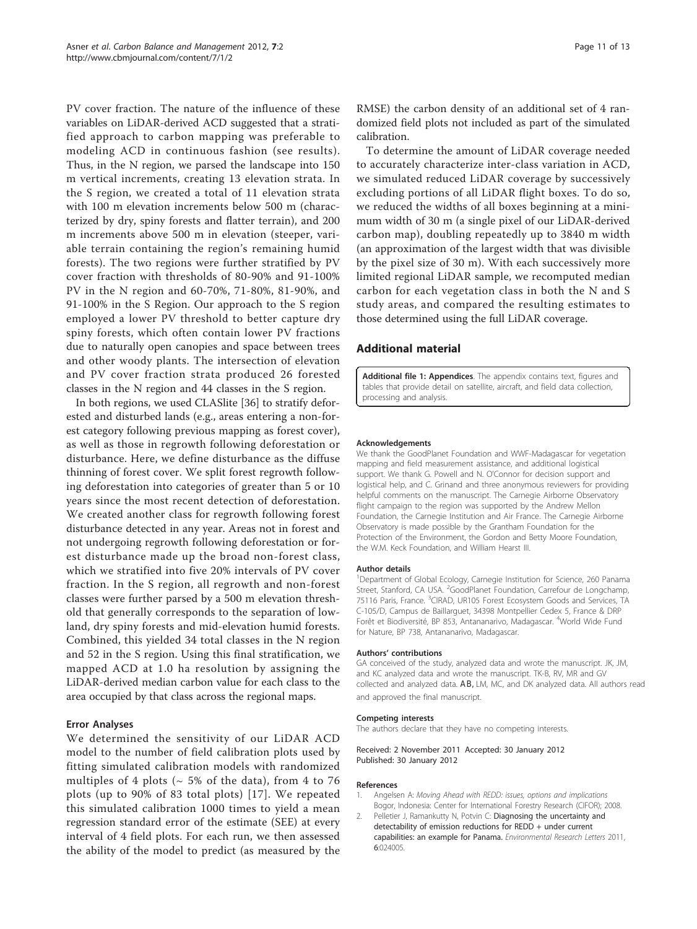<span id="page-10-0"></span>PV cover fraction. The nature of the influence of these variables on LiDAR-derived ACD suggested that a stratified approach to carbon mapping was preferable to modeling ACD in continuous fashion (see results). Thus, in the N region, we parsed the landscape into 150 m vertical increments, creating 13 elevation strata. In the S region, we created a total of 11 elevation strata with 100 m elevation increments below 500 m (characterized by dry, spiny forests and flatter terrain), and 200 m increments above 500 m in elevation (steeper, variable terrain containing the region's remaining humid forests). The two regions were further stratified by PV cover fraction with thresholds of 80-90% and 91-100% PV in the N region and 60-70%, 71-80%, 81-90%, and 91-100% in the S Region. Our approach to the S region employed a lower PV threshold to better capture dry spiny forests, which often contain lower PV fractions due to naturally open canopies and space between trees and other woody plants. The intersection of elevation and PV cover fraction strata produced 26 forested classes in the N region and 44 classes in the S region.

In both regions, we used CLASlite [[36\]](#page-11-0) to stratify deforested and disturbed lands (e.g., areas entering a non-forest category following previous mapping as forest cover), as well as those in regrowth following deforestation or disturbance. Here, we define disturbance as the diffuse thinning of forest cover. We split forest regrowth following deforestation into categories of greater than 5 or 10 years since the most recent detection of deforestation. We created another class for regrowth following forest disturbance detected in any year. Areas not in forest and not undergoing regrowth following deforestation or forest disturbance made up the broad non-forest class, which we stratified into five 20% intervals of PV cover fraction. In the S region, all regrowth and non-forest classes were further parsed by a 500 m elevation threshold that generally corresponds to the separation of lowland, dry spiny forests and mid-elevation humid forests. Combined, this yielded 34 total classes in the N region and 52 in the S region. Using this final stratification, we mapped ACD at 1.0 ha resolution by assigning the LiDAR-derived median carbon value for each class to the area occupied by that class across the regional maps.

# Error Analyses

We determined the sensitivity of our LiDAR ACD model to the number of field calibration plots used by fitting simulated calibration models with randomized multiples of 4 plots ( $\sim$  5% of the data), from 4 to 76 plots (up to 90% of 83 total plots) [[17\]](#page-11-0). We repeated this simulated calibration 1000 times to yield a mean regression standard error of the estimate (SEE) at every interval of 4 field plots. For each run, we then assessed the ability of the model to predict (as measured by the

RMSE) the carbon density of an additional set of 4 randomized field plots not included as part of the simulated calibration.

To determine the amount of LiDAR coverage needed to accurately characterize inter-class variation in ACD, we simulated reduced LiDAR coverage by successively excluding portions of all LiDAR flight boxes. To do so, we reduced the widths of all boxes beginning at a minimum width of 30 m (a single pixel of our LiDAR-derived carbon map), doubling repeatedly up to 3840 m width (an approximation of the largest width that was divisible by the pixel size of 30 m). With each successively more limited regional LiDAR sample, we recomputed median carbon for each vegetation class in both the N and S study areas, and compared the resulting estimates to those determined using the full LiDAR coverage.

# Additional material

[Additional file 1: A](http://www.biomedcentral.com/content/supplementary/1750-0680-7-2-S1.DOCX)ppendices. The appendix contains text, figures and tables that provide detail on satellite, aircraft, and field data collection, processing and analysis.

#### Acknowledgements

We thank the GoodPlanet Foundation and WWF-Madagascar for vegetation mapping and field measurement assistance, and additional logistical support. We thank G. Powell and N. O'Connor for decision support and logistical help, and C. Grinand and three anonymous reviewers for providing helpful comments on the manuscript. The Carnegie Airborne Observatory flight campaign to the region was supported by the Andrew Mellon Foundation, the Carnegie Institution and Air France. The Carnegie Airborne Observatory is made possible by the Grantham Foundation for the Protection of the Environment, the Gordon and Betty Moore Foundation, the W.M. Keck Foundation, and William Hearst III.

#### Author details

<sup>1</sup>Department of Global Ecology, Carnegie Institution for Science, 260 Panama Street, Stanford, CA USA. <sup>2</sup>GoodPlanet Foundation, Carrefour de Longchamp 75116 Paris, France. <sup>3</sup>CIRAD, UR105 Forest Ecosystem Goods and Services, TA C-105/D, Campus de Baillarguet, 34398 Montpellier Cedex 5, France & DRP Forêt et Biodiversité, BP 853, Antananarivo, Madagascar. <sup>4</sup>World Wide Fund for Nature, BP 738, Antananarivo, Madagascar.

#### Authors' contributions

GA conceived of the study, analyzed data and wrote the manuscript. JK, JM, and KC analyzed data and wrote the manuscript. TK-B, RV, MR and GV collected and analyzed data. AB, LM, MC, and DK analyzed data. All authors read and approved the final manuscript.

#### Competing interests

The authors declare that they have no competing interests.

#### Received: 2 November 2011 Accepted: 30 January 2012 Published: 30 January 2012

#### References

- 1. Angelsen A: Moving Ahead with REDD: issues, options and implications Bogor, Indonesia: Center for International Forestry Research (CIFOR); 2008.
- 2. Pelletier J, Ramankutty N, Potvin C: Diagnosing the uncertainty and detectability of emission reductions for REDD + under current capabilities: an example for Panama. Environmental Research Letters 2011, 6:024005.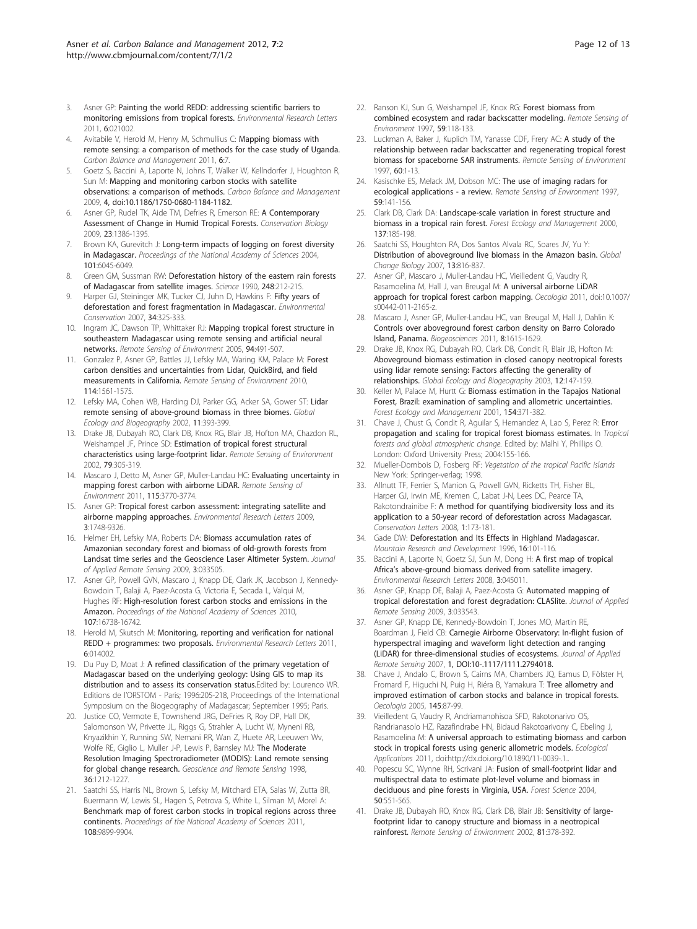- <span id="page-11-0"></span>3. Asner GP: Painting the world REDD: addressing scientific barriers to monitoring emissions from tropical forests. Environmental Research Letters 2011, 6:021002.
- 4. Avitabile V, Herold M, Henry M, Schmullius C: [Mapping biomass with](http://www.ncbi.nlm.nih.gov/pubmed/21982054?dopt=Abstract) [remote sensing: a comparison of methods for the case study of Uganda.](http://www.ncbi.nlm.nih.gov/pubmed/21982054?dopt=Abstract) Carbon Balance and Management 2011, 6:7.
- 5. Goetz S, Baccini A, Laporte N, Johns T, Walker W, Kellndorfer J, Houghton R, Sun M: Mapping and monitoring carbon stocks with satellite observations: a comparison of methods. Carbon Balance and Management 2009, 4, doi:10.1186/1750-0680-1184-1182.
- 6. Asner GP, Rudel TK, Aide TM, Defries R, Emerson RE: [A Contemporary](http://www.ncbi.nlm.nih.gov/pubmed/20078639?dopt=Abstract) [Assessment of Change in Humid Tropical Forests.](http://www.ncbi.nlm.nih.gov/pubmed/20078639?dopt=Abstract) Conservation Biology 2009, 23:1386-1395.
- Brown KA, Gurevitch J: Long-term impacts of logging on forest diversity in Madagascar. Proceedings of the National Academy of Sciences 2004, 101:6045-6049.
- 8. Green GM, Sussman RW: [Deforestation history of the eastern rain forests](http://www.ncbi.nlm.nih.gov/pubmed/17740137?dopt=Abstract) [of Madagascar from satellite images.](http://www.ncbi.nlm.nih.gov/pubmed/17740137?dopt=Abstract) Science 1990, 248:212-215.
- Harper GJ, Steininger MK, Tucker CJ, Juhn D, Hawkins F: Fifty years of deforestation and forest fragmentation in Madagascar. Environmental Conservation 2007, 34:325-333.
- 10. Ingram JC, Dawson TP, Whittaker RJ: Mapping tropical forest structure in southeastern Madagascar using remote sensing and artificial neural networks. Remote Sensing of Environment 2005, 94:491-507.
- 11. Gonzalez P, Asner GP, Battles JJ, Lefsky MA, Waring KM, Palace M: Forest carbon densities and uncertainties from Lidar, QuickBird, and field measurements in California. Remote Sensing of Environment 2010, 114:1561-1575.
- 12. Lefsky MA, Cohen WB, Harding DJ, Parker GG, Acker SA, Gower ST: Lidar remote sensing of above-ground biomass in three biomes. Global Ecology and Biogeography 2002, 11:393-399.
- 13. Drake JB, Dubayah RO, Clark DB, Knox RG, Blair JB, Hofton MA, Chazdon RL, Weishampel JF, Prince SD: Estimation of tropical forest structural characteristics using large-footprint lidar. Remote Sensing of Environment 2002, 79:305-319.
- 14. Mascaro J, Detto M, Asner GP, Muller-Landau HC: Evaluating uncertainty in mapping forest carbon with airborne LiDAR. Remote Sensing of Environment 2011, 115:3770-3774.
- 15. Asner GP: Tropical forest carbon assessment: integrating satellite and airborne mapping approaches. Environmental Research Letters 2009, 3:1748-9326.
- 16. Helmer EH, Lefsky MA, Roberts DA: Biomass accumulation rates of Amazonian secondary forest and biomass of old-growth forests from Landsat time series and the Geoscience Laser Altimeter System. Journal of Applied Remote Sensing 2009, 3:033505.
- 17. Asner GP, Powell GVN, Mascaro J, Knapp DE, Clark JK, Jacobson J, Kennedy-Bowdoin T, Balaji A, Paez-Acosta G, Victoria E, Secada L, Valqui M, Hughes RF: High-resolution forest carbon stocks and emissions in the Amazon. Proceedings of the National Academy of Sciences 2010, 107:16738-16742.
- 18. Herold M, Skutsch M: Monitoring, reporting and verification for national REDD + programmes: two proposals. Environmental Research Letters 2011, 6:014002.
- 19. Du Puy D, Moat J: A refined classification of the primary vegetation of Madagascar based on the underlying geology: Using GIS to map its distribution and to assess its conservation status.Edited by: Lourenco WR. Editions de l'ORSTOM - Paris; 1996:205-218, Proceedings of the International Symposium on the Biogeography of Madagascar; September 1995; Paris.
- 20. Justice CO, Vermote E, Townshend JRG, DeFries R, Roy DP, Hall DK, Salomonson VV, Privette JL, Riggs G, Strahler A, Lucht W, Myneni RB, Knyazikhin Y, Running SW, Nemani RR, Wan Z, Huete AR, Leeuwen Wv, Wolfe RE, Giglio L, Muller J-P, Lewis P, Barnsley MJ: The Moderate Resolution Imaging Spectroradiometer (MODIS): Land remote sensing for global change research. Geoscience and Remote Sensing 1998, 36:1212-1227.
- 21. Saatchi SS, Harris NL, Brown S, Lefsky M, Mitchard ETA, Salas W, Zutta BR, Buermann W, Lewis SL, Hagen S, Petrova S, White L, Silman M, Morel A: Benchmark map of forest carbon stocks in tropical regions across three continents. Proceedings of the National Academy of Sciences 2011, 108:9899-9904.
- 22. Ranson KJ, Sun G, Weishampel JF, Knox RG: Forest biomass from combined ecosystem and radar backscatter modeling. Remote Sensing of Environment 1997, 59:118-133.
- 23. Luckman A, Baker J, Kuplich TM, Yanasse CDF, Frery AC: A study of the relationship between radar backscatter and regenerating tropical forest biomass for spaceborne SAR instruments. Remote Sensing of Environment 1997, 60:1-13.
- 24. Kasischke ES, Melack JM, Dobson MC: The use of imaging radars for ecological applications - a review. Remote Sensing of Environment 1997, 59:141-156.
- 25. Clark DB, Clark DA: Landscape-scale variation in forest structure and biomass in a tropical rain forest. Forest Ecology and Management 2000, 137:185-198.
- 26. Saatchi SS, Houghton RA, Dos Santos Alvala RC, Soares JV, Yu Y: Distribution of aboveground live biomass in the Amazon basin. Global Change Biology 2007, 13:816-837.
- 27. Asner GP, Mascaro J, Muller-Landau HC, Vieilledent G, Vaudry R, Rasamoelina M, Hall J, van Breugal M: A universal airborne LiDAR approach for tropical forest carbon mapping. Oecologia 2011, doi:10.1007/ s00442-011-2165-z.
- 28. Mascaro J, Asner GP, Muller-Landau HC, van Breugal M, Hall J, Dahlin K: Controls over aboveground forest carbon density on Barro Colorado Island, Panama. Biogeosciences 2011, 8:1615-1629.
- 29. Drake JB, Knox RG, Dubayah RO, Clark DB, Condit R, Blair JB, Hofton M: Aboveground biomass estimation in closed canopy neotropical forests using lidar remote sensing: Factors affecting the generality of relationships. Global Ecology and Biogeography 2003, 12:147-159.
- 30. Keller M, Palace M, Hurtt G: Biomass estimation in the Tapajos National Forest, Brazil: examination of sampling and allometric uncertainties. Forest Ecology and Management 2001, 154:371-382.
- 31. Chave J, Chust G, Condit R, Aguilar S, Hernandez A, Lao S, Perez R: Error propagation and scaling for tropical forest biomass estimates. In Tropical forests and global atmospheric change. Edited by: Malhi Y, Phillips O. London: Oxford University Press; 2004:155-166.
- 32. Mueller-Dombois D, Fosberg RF: Vegetation of the tropical Pacific islands New York: Springer-verlag; 1998.
- 33. Allnutt TF, Ferrier S, Manion G, Powell GVN, Ricketts TH, Fisher BL, Harper GJ, Irwin ME, Kremen C, Labat J-N, Lees DC, Pearce TA, Rakotondrainibe F: A method for quantifying biodiversity loss and its application to a 50-year record of deforestation across Madagascar. Conservation Letters 2008, 1:173-181.
- 34. Gade DW: Deforestation and Its Effects in Highland Madagascar. Mountain Research and Development 1996, 16:101-116.
- 35. Baccini A, Laporte N, Goetz SJ, Sun M, Dong H: A first map of tropical Africa's above-ground biomass derived from satellite imagery. Environmental Research Letters 2008, 3:045011.
- 36. Asner GP, Knapp DE, Balaji A, Paez-Acosta G: Automated mapping of tropical deforestation and forest degradation: CLASlite. Journal of Applied Remote Sensing 2009, 3:033543.
- 37. Asner GP, Knapp DE, Kennedy-Bowdoin T, Jones MO, Martin RE, Boardman J, Field CB: Carnegie Airborne Observatory: In-flight fusion of hyperspectral imaging and waveform light detection and ranging (LiDAR) for three-dimensional studies of ecosystems. Journal of Applied Remote Sensing 2007, 1, DOI:10-.1117/1111.2794018.
- 38. Chave J, Andalo C, Brown S, Cairns MA, Chambers JQ, Eamus D, Fölster H, Fromard F, Higuchi N, Puig H, Riéra B, Yamakura T: [Tree allometry and](http://www.ncbi.nlm.nih.gov/pubmed/15971085?dopt=Abstract) [improved estimation of carbon stocks and balance in tropical forests.](http://www.ncbi.nlm.nih.gov/pubmed/15971085?dopt=Abstract) Oecologia 2005, 145:87-99.
- 39. Vieilledent G, Vaudry R, Andriamanohisoa SFD, Rakotonarivo OS, Randrianasolo HZ, Razafindrabe HN, Bidaud Rakotoarivony C, Ebeling J, Rasamoelina M: A universal approach to estimating biomass and carbon stock in tropical forests using generic allometric models. Ecological Applications 2011, doi:http://dx.doi.org/10.1890/11-0039-.1..
- 40. Popescu SC, Wynne RH, Scrivani JA: Fusion of small-footprint lidar and multispectral data to estimate plot-level volume and biomass in deciduous and pine forests in Virginia, USA. Forest Science 2004, 50:551-565.
- 41. Drake JB, Dubayah RO, Knox RG, Clark DB, Blair JB: Sensitivity of largefootprint lidar to canopy structure and biomass in a neotropical rainforest. Remote Sensing of Environment 2002, 81:378-392.